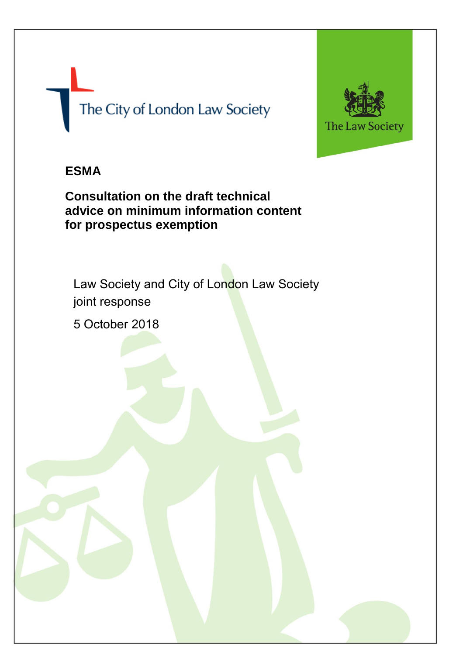# The City of London Law Society

- 2 -



## **ESMA**

**Consultation on the draft technical advice on minimum information content for prospectus exemption**

Law Society and City of London Law Society joint response

5 October 2018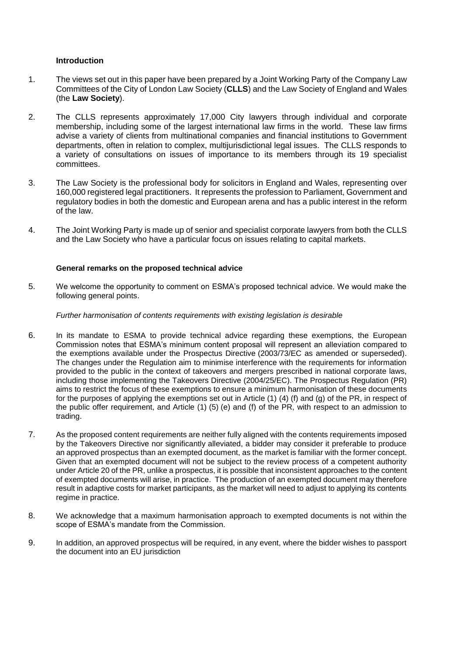#### **Introduction**

- 1. The views set out in this paper have been prepared by a Joint Working Party of the Company Law Committees of the City of London Law Society (**CLLS**) and the Law Society of England and Wales (the **Law Society**).
- 2. The CLLS represents approximately 17,000 City lawyers through individual and corporate membership, including some of the largest international law firms in the world. These law firms advise a variety of clients from multinational companies and financial institutions to Government departments, often in relation to complex, multijurisdictional legal issues. The CLLS responds to a variety of consultations on issues of importance to its members through its 19 specialist committees.
- 3. The Law Society is the professional body for solicitors in England and Wales, representing over 160,000 registered legal practitioners. It represents the profession to Parliament, Government and regulatory bodies in both the domestic and European arena and has a public interest in the reform of the law.
- 4. The Joint Working Party is made up of senior and specialist corporate lawyers from both the CLLS and the Law Society who have a particular focus on issues relating to capital markets.

#### **General remarks on the proposed technical advice**

5. We welcome the opportunity to comment on ESMA's proposed technical advice. We would make the following general points.

#### *Further harmonisation of contents requirements with existing legislation is desirable*

- 6. In its mandate to ESMA to provide technical advice regarding these exemptions, the European Commission notes that ESMA's minimum content proposal will represent an alleviation compared to the exemptions available under the Prospectus Directive (2003/73/EC as amended or superseded). The changes under the Regulation aim to minimise interference with the requirements for information provided to the public in the context of takeovers and mergers prescribed in national corporate laws, including those implementing the Takeovers Directive (2004/25/EC). The Prospectus Regulation (PR) aims to restrict the focus of these exemptions to ensure a minimum harmonisation of these documents for the purposes of applying the exemptions set out in Article (1) (4) (f) and (g) of the PR, in respect of the public offer requirement, and Article (1) (5) (e) and (f) of the PR, with respect to an admission to trading.
- 7. As the proposed content requirements are neither fully aligned with the contents requirements imposed by the Takeovers Directive nor significantly alleviated, a bidder may consider it preferable to produce an approved prospectus than an exempted document, as the market is familiar with the former concept. Given that an exempted document will not be subject to the review process of a competent authority under Article 20 of the PR, unlike a prospectus, it is possible that inconsistent approaches to the content of exempted documents will arise, in practice. The production of an exempted document may therefore result in adaptive costs for market participants, as the market will need to adjust to applying its contents regime in practice.
- 8. We acknowledge that a maximum harmonisation approach to exempted documents is not within the scope of ESMA's mandate from the Commission.
- 9. In addition, an approved prospectus will be required, in any event, where the bidder wishes to passport the document into an EU jurisdiction